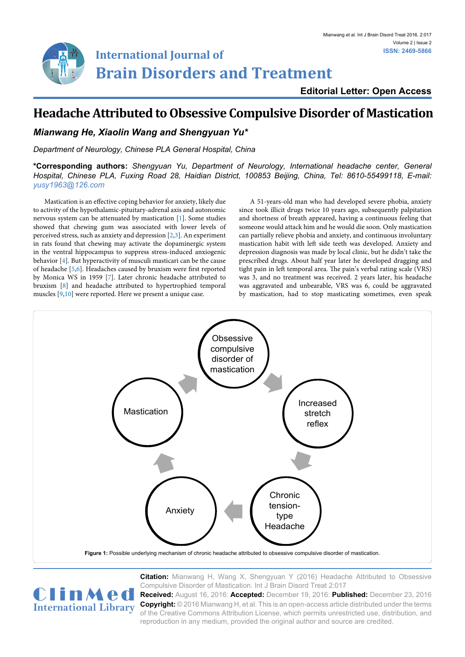

**Editorial Letter: Open Access**

## **Headache Attributed to Obsessive Compulsive Disorder of Mastication**

## *Mianwang He, Xiaolin Wang and Shengyuan Yu\**

*Department of Neurology, Chinese PLA General Hospital, China*

**\*Corresponding authors:** *Shengyuan Yu, Department of Neurology, International headache center, General Hospital, Chinese PLA, Fuxing Road 28, Haidian District, 100853 Beijing, China, Tel: 8610-55499118, E-mail: yusy1963@126.com*

Mastication is an effective coping behavior for anxiety, likely due to activity of the hypothalamic-pituitary-adrenal axis and autonomic nervous system can be attenuated by mastication [[1](#page-1-0)]. Some studies showed that chewing gum was associated with lower levels of perceived stress, such as anxiety and depression [\[2,](#page-1-1)[3](#page-1-2)]. An experiment in rats found that chewing may activate the dopaminergic system in the ventral hippocampus to suppress stress-induced anxiogenic behavior [\[4\]](#page-1-3). But hyperactivity of musculi masticari can be the cause of headache [\[5,](#page-1-4)[6](#page-1-5)]. [Headaches caused by bruxism were first reported](http://www.ncbi.nlm.nih.gov/pubmed/14423560) [by Monica WS in 1959](http://www.ncbi.nlm.nih.gov/pubmed/14423560) [\[7](#page-1-6)]. Later chronic headache attributed to bruxism [\[8](#page-1-7)] and headache attributed to hypertrophied temporal muscles [\[9,](#page-1-8)[10](#page-1-9)] were reported. Here we present a unique case.

A 51-years-old man who had developed severe phobia, anxiety since took illicit drugs twice 10 years ago, subsequently palpitation and shortness of breath appeared, having a continuous feeling that someone would attack him and he would die soon. Only mastication can partially relieve phobia and anxiety, and continuous involuntary mastication habit with left side teeth was developed. Anxiety and depression diagnosis was made by local clinic, but he didn't take the prescribed drugs. About half year later he developed dragging and tight pain in left temporal area. The pain's verbal rating scale (VRS) was 3, and no treatment was received. 2 years later, his headache was aggravated and unbearable, VRS was 6, could be aggravated by mastication, had to stop masticating sometimes, even speak

<span id="page-0-0"></span>

**Citation:** Mianwang H, Wang X, Shengyuan Y (2016) Headache Attributed to Obsessive Compulsive Disorder of Mastication. Int J Brain Disord Treat 2:017 **Received:** August 16, 2016: **Accepted:** December 19, 2016: **Published:** December 23, 2016 **Copyright:** © 2016 Mianwang H, et al. This is an open-access article distributed under the terms



of the Creative Commons Attribution License, which permits unrestricted use, distribution, and reproduction in any medium, provided the original author and source are credited.